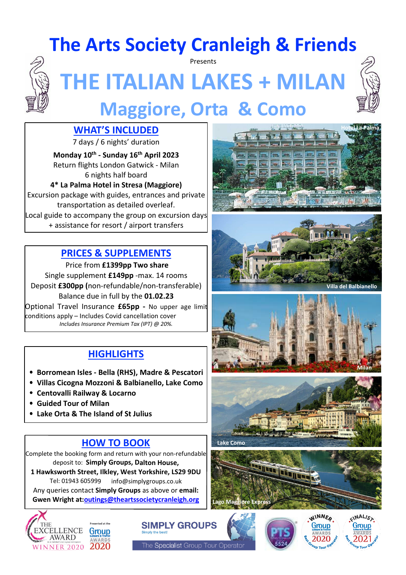## **The Arts Society Cranleigh & Friends**

Presents



# **THE ITALIAN LAKES + MILAN Maggiore, Orta & Como**



7 days / 6 nights' duration

**Monday 10th - Sunday 16th April 2023** Return flights London Gatwick - Milan 6 nights half board

**4\* La Palma Hotel in Stresa (Maggiore)** Excursion package with guides, entrances and private

transportation as detailed overleaf. Local guide to accompany the group on excursion days + assistance for resort / airport transfers

#### **PRICES & SUPPLEMENTS**

Price from **£1399pp Two share** Single supplement **£149pp** -max. 14 rooms Deposit **£300pp (**non-refundable/non-transferable) Balance due in full by the **01.02.23**

Optional Travel Insurance **£65pp -** No upper age limit conditions apply – Includes Covid cancellation cover *Includes Insurance Premium Tax (IPT) @ 20%.*

### **HIGHLIGHTS**

- **Borromean Isles Bella (RHS), Madre & Pescatori**
- **Villas Cicogna Mozzoni & Balbianello, Lake Como**
- **Centovalli Railway & Locarno**
- **Guided Tour of Milan**
- **Lake Orta & The Island of St Julius**

### **HOW TO BOOK**

Complete the booking form and return with your non-refundable deposit to: **Simply Groups, Dalton House,**

**1 Hawksworth Street, Ilkley, West Yorkshire, LS29 9DU** Tel: 01943 605999 info@simplygroups.co.uk Any queries contact **Simply Groups** as above or **email: Gwen Wright at:outings@theartssocietycranleigh.org**





The Specialist Group Tour Operator